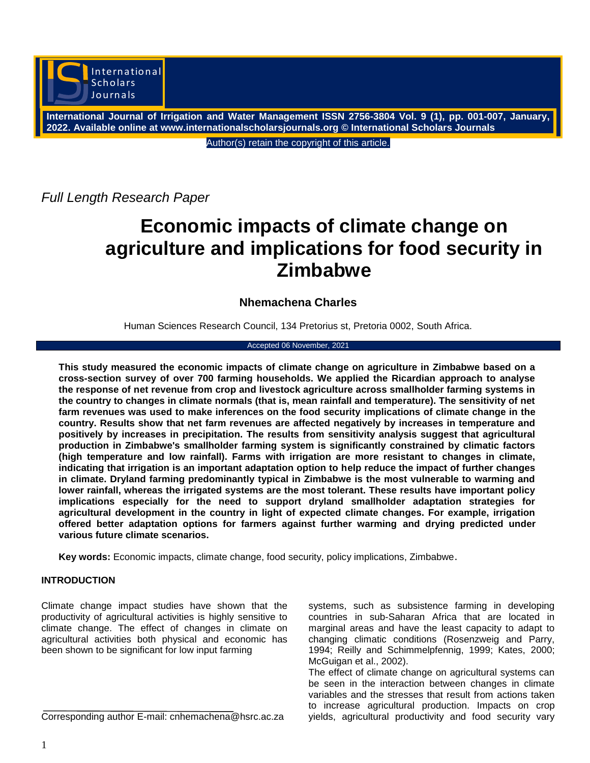**International Journal of Irrigation and Water Management ISSN 2756-3804 Vol. 9 (1), pp. 001-007, January, 2022. Available online at www.internationalscholarsjournals.org © International Scholars Journals**

Author(s) retain the copyright of this article.

*Full Length Research Paper*

# **Economic impacts of climate change on agriculture and implications for food security in Zimbabwe**

**Nhemachena Charles**

Human Sciences Research Council, 134 Pretorius st, Pretoria 0002, South Africa.

## Accepted 06 November, 2021

**This study measured the economic impacts of climate change on agriculture in Zimbabwe based on a cross-section survey of over 700 farming households. We applied the Ricardian approach to analyse the response of net revenue from crop and livestock agriculture across smallholder farming systems in the country to changes in climate normals (that is, mean rainfall and temperature). The sensitivity of net farm revenues was used to make inferences on the food security implications of climate change in the country. Results show that net farm revenues are affected negatively by increases in temperature and positively by increases in precipitation. The results from sensitivity analysis suggest that agricultural production in Zimbabwe's smallholder farming system is significantly constrained by climatic factors (high temperature and low rainfall). Farms with irrigation are more resistant to changes in climate, indicating that irrigation is an important adaptation option to help reduce the impact of further changes in climate. Dryland farming predominantly typical in Zimbabwe is the most vulnerable to warming and lower rainfall, whereas the irrigated systems are the most tolerant. These results have important policy implications especially for the need to support dryland smallholder adaptation strategies for agricultural development in the country in light of expected climate changes. For example, irrigation offered better adaptation options for farmers against further warming and drying predicted under various future climate scenarios.**

**Key words:** Economic impacts, climate change, food security, policy implications, Zimbabwe.

# **INTRODUCTION**

Climate change impact studies have shown that the productivity of agricultural activities is highly sensitive to climate change. The effect of changes in climate on agricultural activities both physical and economic has been shown to be significant for low input farming

systems, such as subsistence farming in developing countries in sub-Saharan Africa that are located in marginal areas and have the least capacity to adapt to changing climatic conditions (Rosenzweig and Parry, 1994; Reilly and Schimmelpfennig, 1999; Kates, 2000; McGuigan et al., 2002).

The effect of climate change on agricultural systems can be seen in the interaction between changes in climate variables and the stresses that result from actions taken to increase agricultural production. Impacts on crop yields, agricultural productivity and food security vary

Corresponding author E-mail: cnhemachena@hsrc.ac.za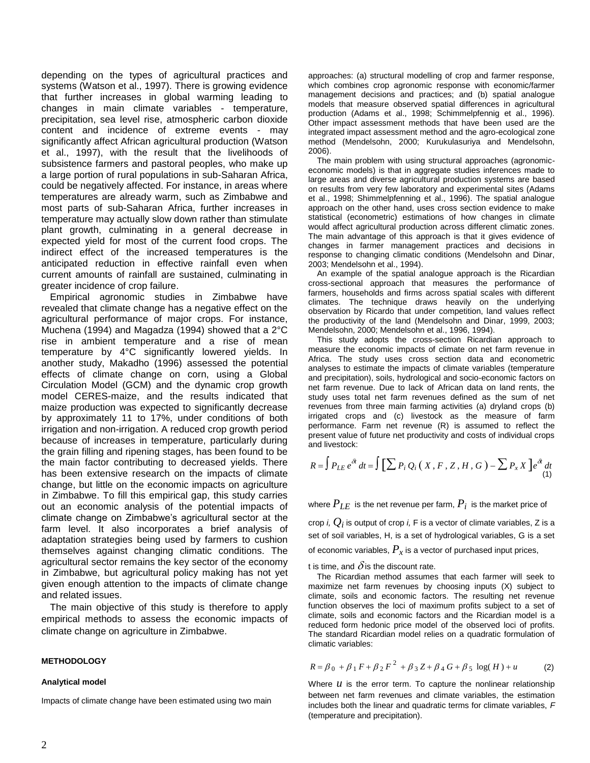depending on the types of agricultural practices and systems (Watson et al., 1997). There is growing evidence that further increases in global warming leading to changes in main climate variables - temperature, precipitation, sea level rise, atmospheric carbon dioxide content and incidence of extreme events - may significantly affect African agricultural production (Watson et al., 1997), with the result that the livelihoods of subsistence farmers and pastoral peoples, who make up a large portion of rural populations in sub-Saharan Africa, could be negatively affected. For instance, in areas where temperatures are already warm, such as Zimbabwe and most parts of sub-Saharan Africa, further increases in temperature may actually slow down rather than stimulate plant growth, culminating in a general decrease in expected yield for most of the current food crops. The indirect effect of the increased temperatures is the anticipated reduction in effective rainfall even when current amounts of rainfall are sustained, culminating in greater incidence of crop failure.

Empirical agronomic studies in Zimbabwe have revealed that climate change has a negative effect on the agricultural performance of major crops. For instance, Muchena (1994) and Magadza (1994) showed that a 2°C rise in ambient temperature and a rise of mean temperature by 4°C significantly lowered yields. In another study, Makadho (1996) assessed the potential effects of climate change on corn, using a Global Circulation Model (GCM) and the dynamic crop growth model CERES-maize, and the results indicated that maize production was expected to significantly decrease by approximately 11 to 17%, under conditions of both irrigation and non-irrigation. A reduced crop growth period because of increases in temperature, particularly during the grain filling and ripening stages, has been found to be the main factor contributing to decreased yields. There has been extensive research on the impacts of climate change, but little on the economic impacts on agriculture in Zimbabwe. To fill this empirical gap, this study carries out an economic analysis of the potential impacts of climate change on Zimbabwe's agricultural sector at the farm level. It also incorporates a brief analysis of adaptation strategies being used by farmers to cushion themselves against changing climatic conditions. The agricultural sector remains the key sector of the economy in Zimbabwe, but agricultural policy making has not yet given enough attention to the impacts of climate change and related issues.

The main objective of this study is therefore to apply empirical methods to assess the economic impacts of climate change on agriculture in Zimbabwe.

#### **METHODOLOGY**

#### **Analytical model**

Impacts of climate change have been estimated using two main

approaches: (a) structural modelling of crop and farmer response, which combines crop agronomic response with economic/farmer management decisions and practices; and (b) spatial analogue models that measure observed spatial differences in agricultural production (Adams et al., 1998; Schimmelpfennig et al., 1996). Other impact assessment methods that have been used are the integrated impact assessment method and the agro-ecological zone method (Mendelsohn, 2000; Kurukulasuriya and Mendelsohn, 2006).

The main problem with using structural approaches (agronomiceconomic models) is that in aggregate studies inferences made to large areas and diverse agricultural production systems are based on results from very few laboratory and experimental sites (Adams et al., 1998; Shimmelpfenning et al., 1996). The spatial analogue approach on the other hand, uses cross section evidence to make statistical (econometric) estimations of how changes in climate would affect agricultural production across different climatic zones. The main advantage of this approach is that it gives evidence of changes in farmer management practices and decisions in response to changing climatic conditions (Mendelsohn and Dinar, 2003; Mendelsohn et al., 1994).

An example of the spatial analogue approach is the Ricardian cross-sectional approach that measures the performance of farmers, households and firms across spatial scales with different climates. The technique draws heavily on the underlying observation by Ricardo that under competition, land values reflect the productivity of the land (Mendelsohn and Dinar, 1999, 2003; Mendelsohn, 2000; Mendelsohn et al., 1996, 1994).

This study adopts the cross-section Ricardian approach to measure the economic impacts of climate on net farm revenue in Africa. The study uses cross section data and econometric analyses to estimate the impacts of climate variables (temperature and precipitation), soils, hydrological and socio-economic factors on net farm revenue. Due to lack of African data on land rents, the study uses total net farm revenues defined as the sum of net revenues from three main farming activities (a) dryland crops (b) irrigated crops and (c) livestock as the measure of farm performance. Farm net revenue (R) is assumed to reflect the present value of future net productivity and costs of individual crops and livestock:

$$
R = \int P_{LE} e^{\delta t} dt = \int \left[ \sum P_i Q_i \left( X, F, Z, H, G \right) - \sum P_x X \right] e^{\delta t} dt
$$
\n(1)

where  $P_{LE}$  is the net revenue per farm,  $P_i\,$  is the market price of

crop *i,*  $Q_i$  is output of crop *i,* F is a vector of climate variables, Z is a set of soil variables, H, is a set of hydrological variables, G is a set of economic variables,  $\overline{P}_\mathcal{X}$  is a vector of purchased input prices,

t is time, and  $\delta$  is the discount rate.

The Ricardian method assumes that each farmer will seek to maximize net farm revenues by choosing inputs (X) subject to climate, soils and economic factors. The resulting net revenue function observes the loci of maximum profits subject to a set of climate, soils and economic factors and the Ricardian model is a reduced form hedonic price model of the observed loci of profits. The standard Ricardian model relies on a quadratic formulation of climatic variables:

$$
R = \beta_0 + \beta_1 F + \beta_2 F^2 + \beta_3 Z + \beta_4 G + \beta_5 \log(H) + u
$$
 (2)

Where  $u$  is the error term. To capture the nonlinear relationship between net farm revenues and climate variables, the estimation includes both the linear and quadratic terms for climate variables, *F* (temperature and precipitation).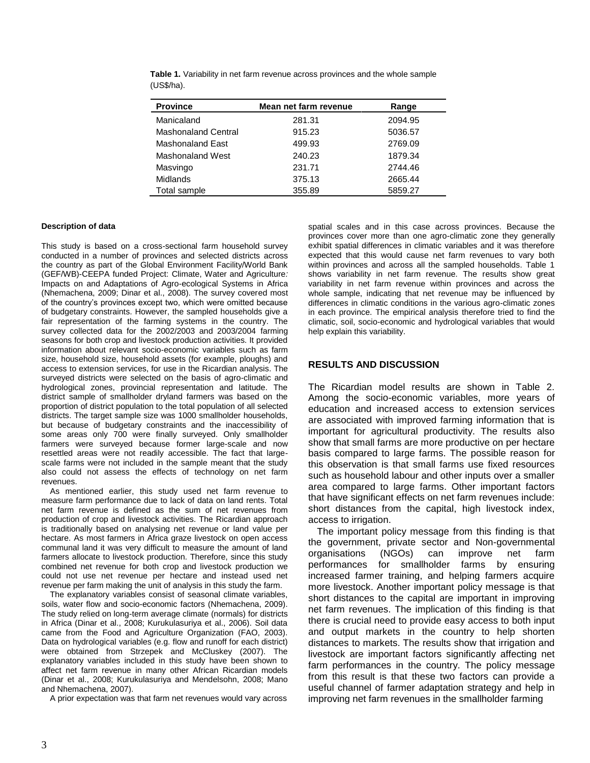| <b>Province</b>            | Mean net farm revenue | Range   |
|----------------------------|-----------------------|---------|
| Manicaland                 | 281.31                | 2094.95 |
| <b>Mashonaland Central</b> | 915.23                | 5036.57 |
| Mashonaland East           | 499.93                | 2769.09 |
| <b>Mashonaland West</b>    | 240.23                | 1879.34 |
| Masvingo                   | 231.71                | 2744.46 |
| <b>Midlands</b>            | 375.13                | 2665.44 |
| Total sample               | 355.89                | 5859.27 |

**Table 1.** Variability in net farm revenue across provinces and the whole sample (US\$/ha).

#### **Description of data**

This study is based on a cross-sectional farm household survey conducted in a number of provinces and selected districts across the country as part of the Global Environment Facility/World Bank (GEF/WB)-CEEPA funded Project: Climate, Water and Agriculture*:* Impacts on and Adaptations of Agro-ecological Systems in Africa (Nhemachena, 2009; Dinar et al., 2008). The survey covered most of the country's provinces except two, which were omitted because of budgetary constraints. However, the sampled households give a fair representation of the farming systems in the country. The survey collected data for the 2002/2003 and 2003/2004 farming seasons for both crop and livestock production activities. It provided information about relevant socio-economic variables such as farm size, household size, household assets (for example, ploughs) and access to extension services, for use in the Ricardian analysis. The surveyed districts were selected on the basis of agro-climatic and hydrological zones, provincial representation and latitude. The district sample of smallholder dryland farmers was based on the proportion of district population to the total population of all selected districts. The target sample size was 1000 smallholder households, but because of budgetary constraints and the inaccessibility of some areas only 700 were finally surveyed. Only smallholder farmers were surveyed because former large-scale and now resettled areas were not readily accessible. The fact that largescale farms were not included in the sample meant that the study also could not assess the effects of technology on net farm revenues.

As mentioned earlier, this study used net farm revenue to measure farm performance due to lack of data on land rents. Total net farm revenue is defined as the sum of net revenues from production of crop and livestock activities. The Ricardian approach is traditionally based on analysing net revenue or land value per hectare. As most farmers in Africa graze livestock on open access communal land it was very difficult to measure the amount of land farmers allocate to livestock production. Therefore, since this study combined net revenue for both crop and livestock production we could not use net revenue per hectare and instead used net revenue per farm making the unit of analysis in this study the farm.

The explanatory variables consist of seasonal climate variables, soils, water flow and socio-economic factors (Nhemachena, 2009). The study relied on long-term average climate (normals) for districts in Africa (Dinar et al., 2008; Kurukulasuriya et al., 2006). Soil data came from the Food and Agriculture Organization (FAO, 2003). Data on hydrological variables (e.g. flow and runoff for each district) were obtained from Strzepek and McCluskey (2007). The explanatory variables included in this study have been shown to affect net farm revenue in many other African Ricardian models (Dinar et al., 2008; Kurukulasuriya and Mendelsohn, 2008; Mano and Nhemachena, 2007).

A prior expectation was that farm net revenues would vary across

spatial scales and in this case across provinces. Because the provinces cover more than one agro-climatic zone they generally exhibit spatial differences in climatic variables and it was therefore expected that this would cause net farm revenues to vary both within provinces and across all the sampled households. Table 1 shows variability in net farm revenue. The results show great variability in net farm revenue within provinces and across the whole sample, indicating that net revenue may be influenced by differences in climatic conditions in the various agro-climatic zones in each province. The empirical analysis therefore tried to find the climatic, soil, socio-economic and hydrological variables that would help explain this variability.

#### **RESULTS AND DISCUSSION**

The Ricardian model results are shown in Table 2. Among the socio-economic variables, more years of education and increased access to extension services are associated with improved farming information that is important for agricultural productivity. The results also show that small farms are more productive on per hectare basis compared to large farms. The possible reason for this observation is that small farms use fixed resources such as household labour and other inputs over a smaller area compared to large farms. Other important factors that have significant effects on net farm revenues include: short distances from the capital, high livestock index, access to irrigation.

The important policy message from this finding is that the government, private sector and Non-governmental organisations (NGOs) can improve net farm performances for smallholder farms by ensuring increased farmer training, and helping farmers acquire more livestock. Another important policy message is that short distances to the capital are important in improving net farm revenues. The implication of this finding is that there is crucial need to provide easy access to both input and output markets in the country to help shorten distances to markets. The results show that irrigation and livestock are important factors significantly affecting net farm performances in the country. The policy message from this result is that these two factors can provide a useful channel of farmer adaptation strategy and help in improving net farm revenues in the smallholder farming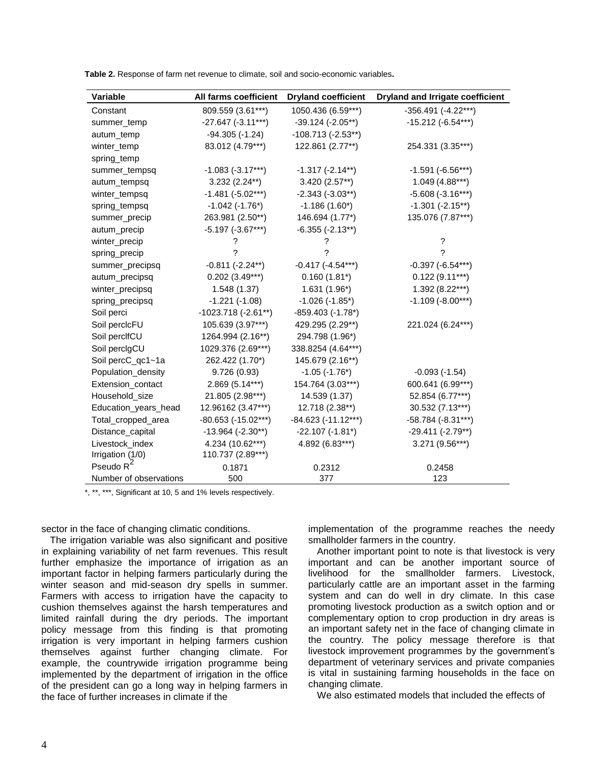| Variable               | All farms coefficient   | <b>Dryland coefficient</b> | Dryland and Irrigate coefficient |
|------------------------|-------------------------|----------------------------|----------------------------------|
| Constant               | 809.559 (3.61***)       | 1050.436 (6.59***)         | $-356.491 (-4.22***)$            |
| summer_temp            | $-27.647$ $(-3.11***)$  | $-39.124$ $(-2.05**)$      | $-15.212$ $(-6.54***)$           |
| autum_temp             | $-94.305(-1.24)$        | $-108.713(-2.53**)$        |                                  |
| winter_temp            | 83.012 (4.79***)        | 122.861 (2.77**)           | 254.331 (3.35***)                |
| spring_temp            |                         |                            |                                  |
| summer_tempsq          | $-1.083(-3.17***)$      | $-1.317(-2.14**)$          | $-1.591(-6.56***)$               |
| autum_tempsq           | $3.232(2.24**)$         | $3.420(2.57**)$            | $1.049(4.88***)$                 |
| winter_tempsq          | $-1.481(-5.02***)$      | $-2.343(-3.03**)$          | $-5.608(-3.16***)$               |
| spring_tempsq          | $-1.042$ $(-1.76^*)$    | $-1.186(1.60*)$            | $-1.301(-2.15**)$                |
| summer_precip          | 263.981 (2.50**)        | 146.694 (1.77*)            | 135.076 (7.87***)                |
| autum_precip           | $-5.197 (-3.67***)$     | $-6.355(-2.13**)$          |                                  |
| winter_precip          | ?                       | ?                          | ?                                |
| spring_precip          | ?                       | ?                          | ?                                |
| summer_precipsq        | $-0.811(-2.24**)$       | $-0.417(-4.54***)$         | $-0.397(-6.54***)$               |
| autum_precipsq         | $0.202$ (3.49***)       | $0.160(1.81*)$             | $0.122(9.11***)$                 |
| winter_precipsq        | 1.548(1.37)             | $1.631(1.96^{*})$          | $1.392(8.22***)$                 |
| spring_precipsq        | $-1.221(-1.08)$         | $-1.026$ $(-1.85^*)$       | $-1.109(-8.00***)$               |
| Soil perci             | $-1023.718(-2.61**)$    | $-859.403(-1.78*)$         |                                  |
| Soil perclcFU          | 105.639 (3.97***)       | 429.295 (2.29**)           | 221.024 (6.24***)                |
| Soil perclfCU          | 1264.994 (2.16**)       | 294.798 (1.96*)            |                                  |
| Soil perclgCU          | 1029.376 (2.69***)      | 338.8254 (4.64***)         |                                  |
| Soil percC_qc1~1a      | 262.422 (1.70*)         | 145.679 (2.16**)           |                                  |
| Population_density     | 9.726 (0.93)            | $-1.05$ $(-1.76^*)$        | $-0.093(-1.54)$                  |
| Extension_contact      | $2.869(5.14***)$        | 154.764 (3.03***)          | 600.641 (6.99***)                |
| Household_size         | 21.805 (2.98***)        | 14.539 (1.37)              | 52.854 (6.77***)                 |
| Education_years_head   | 12.96162 (3.47***)      | 12.718 (2.38**)            | 30.532 (7.13***)                 |
| Total_cropped_area     | $-80.653$ $(-15.02***)$ | $-84.623(-11.12***)$       | $-58.784$ $(-8.31***)$           |
| Distance_capital       | $-13.964$ ( $-2.30**$ ) | $-22.107(-1.81*)$          | $-29.411(-2.79**)$               |
| Livestock_index        | $4.234(10.62***)$       | 4.892 (6.83***)            | $3.271(9.56***)$                 |
| Irrigation (1/0)       | 110.737 (2.89***)       |                            |                                  |
| Pseudo R <sup>4</sup>  | 0.1871                  | 0.2312                     | 0.2458                           |
| Number of observations | 500                     | 377                        | 123                              |

**Table 2.** Response of farm net revenue to climate, soil and socio-economic variables**.**

\*, \*\*, \*\*\*, Significant at 10, 5 and 1% levels respectively.

sector in the face of changing climatic conditions.

The irrigation variable was also significant and positive in explaining variability of net farm revenues. This result further emphasize the importance of irrigation as an important factor in helping farmers particularly during the winter season and mid-season dry spells in summer. Farmers with access to irrigation have the capacity to cushion themselves against the harsh temperatures and limited rainfall during the dry periods. The important policy message from this finding is that promoting irrigation is very important in helping farmers cushion themselves against further changing climate. For example, the countrywide irrigation programme being implemented by the department of irrigation in the office of the president can go a long way in helping farmers in the face of further increases in climate if the

implementation of the programme reaches the needy smallholder farmers in the country.

Another important point to note is that livestock is very important and can be another important source of livelihood for the smallholder farmers. Livestock, particularly cattle are an important asset in the farming system and can do well in dry climate. In this case promoting livestock production as a switch option and or complementary option to crop production in dry areas is an important safety net in the face of changing climate in the country. The policy message therefore is that livestock improvement programmes by the government's department of veterinary services and private companies is vital in sustaining farming households in the face on changing climate.

We also estimated models that included the effects of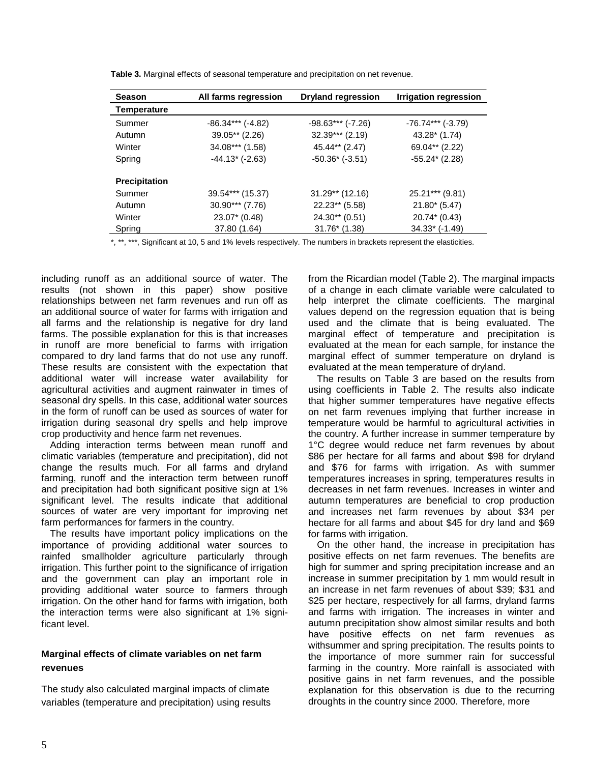| <b>Season</b>        | All farms regression | <b>Dryland regression</b> | <b>Irrigation regression</b> |
|----------------------|----------------------|---------------------------|------------------------------|
| <b>Temperature</b>   |                      |                           |                              |
| Summer               | $-86.34***$ (-4.82)  | $-98.63***$ (-7.26)       | $-76.74***$ $(-3.79)$        |
| Autumn               | $39.05**$ (2.26)     | 32.39*** (2.19)           | 43.28* (1.74)                |
| Winter               | 34.08*** (1.58)      | 45.44** (2.47)            | 69.04** (2.22)               |
| Spring               | $-44.13$ ( $-2.63$ ) | $-50.36$ ( $-3.51$ )      | $-55.24*(2.28)$              |
| <b>Precipitation</b> |                      |                           |                              |
| Summer               | 39.54*** (15.37)     | $31.29**$ (12.16)         | 25.21*** (9.81)              |
| Autumn               | $30.90***$ (7.76)    | 22.23** (5.58)            | $21.80*(5.47)$               |
| Winter               | $23.07*$ (0.48)      | 24.30** (0.51)            | $20.74*(0.43)$               |
| Spring               | 37.80 (1.64)         | $31.76*$ (1.38)           | $34.33*$ (-1.49)             |

**Table 3.** Marginal effects of seasonal temperature and precipitation on net revenue.

\*, \*\*, \*\*\*, Significant at 10, 5 and 1% levels respectively. The numbers in brackets represent the elasticities.

including runoff as an additional source of water. The results (not shown in this paper) show positive relationships between net farm revenues and run off as an additional source of water for farms with irrigation and all farms and the relationship is negative for dry land farms. The possible explanation for this is that increases in runoff are more beneficial to farms with irrigation compared to dry land farms that do not use any runoff. These results are consistent with the expectation that additional water will increase water availability for agricultural activities and augment rainwater in times of seasonal dry spells. In this case, additional water sources in the form of runoff can be used as sources of water for irrigation during seasonal dry spells and help improve crop productivity and hence farm net revenues.

Adding interaction terms between mean runoff and climatic variables (temperature and precipitation), did not change the results much. For all farms and dryland farming, runoff and the interaction term between runoff and precipitation had both significant positive sign at 1% significant level. The results indicate that additional sources of water are very important for improving net farm performances for farmers in the country.

The results have important policy implications on the importance of providing additional water sources to rainfed smallholder agriculture particularly through irrigation. This further point to the significance of irrigation and the government can play an important role in providing additional water source to farmers through irrigation. On the other hand for farms with irrigation, both the interaction terms were also significant at 1% significant level.

# **Marginal effects of climate variables on net farm revenues**

The study also calculated marginal impacts of climate variables (temperature and precipitation) using results from the Ricardian model (Table 2). The marginal impacts of a change in each climate variable were calculated to help interpret the climate coefficients. The marginal values depend on the regression equation that is being used and the climate that is being evaluated. The marginal effect of temperature and precipitation is evaluated at the mean for each sample, for instance the marginal effect of summer temperature on dryland is evaluated at the mean temperature of dryland.

The results on Table 3 are based on the results from using coefficients in Table 2. The results also indicate that higher summer temperatures have negative effects on net farm revenues implying that further increase in temperature would be harmful to agricultural activities in the country. A further increase in summer temperature by 1°C degree would reduce net farm revenues by about \$86 per hectare for all farms and about \$98 for dryland and \$76 for farms with irrigation. As with summer temperatures increases in spring, temperatures results in decreases in net farm revenues. Increases in winter and autumn temperatures are beneficial to crop production and increases net farm revenues by about \$34 per hectare for all farms and about \$45 for dry land and \$69 for farms with irrigation.

On the other hand, the increase in precipitation has positive effects on net farm revenues. The benefits are high for summer and spring precipitation increase and an increase in summer precipitation by 1 mm would result in an increase in net farm revenues of about \$39; \$31 and \$25 per hectare, respectively for all farms, dryland farms and farms with irrigation. The increases in winter and autumn precipitation show almost similar results and both have positive effects on net farm revenues as withsummer and spring precipitation. The results points to the importance of more summer rain for successful farming in the country. More rainfall is associated with positive gains in net farm revenues, and the possible explanation for this observation is due to the recurring droughts in the country since 2000. Therefore, more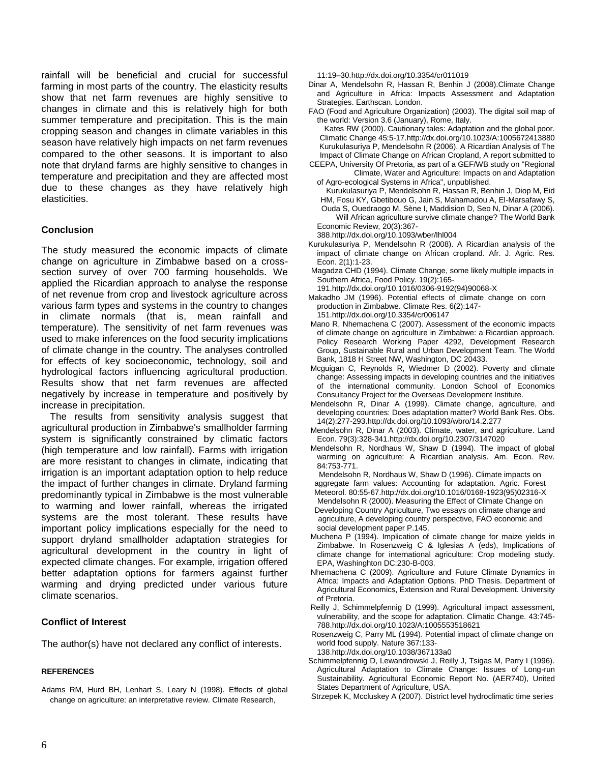rainfall will be beneficial and crucial for successful farming in most parts of the country. The elasticity results show that net farm revenues are highly sensitive to changes in climate and this is relatively high for both summer temperature and precipitation. This is the main cropping season and changes in climate variables in this season have relatively high impacts on net farm revenues compared to the other seasons. It is important to also note that dryland farms are highly sensitive to changes in temperature and precipitation and they are affected most due to these changes as they have relatively high elasticities.

## **Conclusion**

The study measured the economic impacts of climate change on agriculture in Zimbabwe based on a crosssection survey of over 700 farming households. We applied the Ricardian approach to analyse the response of net revenue from crop and livestock agriculture across various farm types and systems in the country to changes in climate normals (that is, mean rainfall and temperature). The sensitivity of net farm revenues was used to make inferences on the food security implications of climate change in the country. The analyses controlled for effects of key socioeconomic, technology, soil and hydrological factors influencing agricultural production. Results show that net farm revenues are affected negatively by increase in temperature and positively by increase in precipitation.

The results from sensitivity analysis suggest that agricultural production in Zimbabwe's smallholder farming system is significantly constrained by climatic factors (high temperature and low rainfall). Farms with irrigation are more resistant to changes in climate, indicating that irrigation is an important adaptation option to help reduce the impact of further changes in climate. Dryland farming predominantly typical in Zimbabwe is the most vulnerable to warming and lower rainfall, whereas the irrigated systems are the most tolerant. These results have important policy implications especially for the need to support dryland smallholder adaptation strategies for agricultural development in the country in light of expected climate changes. For example, irrigation offered better adaptation options for farmers against further warming and drying predicted under various future climate scenarios.

# **Conflict of Interest**

The author(s) have not declared any conflict of interests.

## **REFERENCES**

Adams RM, Hurd BH, Lenhart S, Leary N (1998). Effects of global change on agriculture: an interpretative review. Climate Research,

11:19–30.http://dx.doi.org/10.3354/cr011019

- Dinar A, Mendelsohn R, Hassan R, Benhin J (2008).Climate Change and Agriculture in Africa: Impacts Assessment and Adaptation Strategies. Earthscan. London.
- FAO (Food and Agriculture Organization) (2003). The digital soil map of the world: Version 3.6 (January), Rome, Italy.

Kates RW (2000). Cautionary tales: Adaptation and the global poor. Climatic Change 45:5-17.http://dx.doi.org/10.1023/A:1005672413880 Kurukulasuriya P, Mendelsohn R (2006). A Ricardian Analysis of The Impact of Climate Change on African Cropland, A report submitted to

- CEEPA, University Of Pretoria, as part of a GEF/WB study on "Regional Climate, Water and Agriculture: Impacts on and Adaptation
- of Agro-ecological Systems in Africa", unpublished. Kurukulasuriya P, Mendelsohn R, Hassan R, Benhin J, Diop M, Eid HM, Fosu KY, Gbetibouo G, Jain S, Mahamadou A, El-Marsafawy S,
- Ouda S, Ouedraogo M, Sène I, Maddision D, Seo N, Dinar A (2006). Will African agriculture survive climate change? The World Bank Economic Review, 20(3):367-
- 388.http://dx.doi.org/10.1093/wber/lhl004
- Kurukulasuriya P, Mendelsohn R (2008). A Ricardian analysis of the impact of climate change on African cropland. Afr. J. Agric. Res. Econ. 2(1):1-23.
- Magadza CHD (1994). Climate Change, some likely multiple impacts in Southern Africa, Food Policy. 19(2):165-
- 191.http://dx.doi.org/10.1016/0306-9192(94)90068-X
- Makadho JM (1996). Potential effects of climate change on corn production in Zimbabwe. Climate Res. 6(2):147-
- 151.http://dx.doi.org/10.3354/cr006147
- Mano R, Nhemachena C (2007). Assessment of the economic impacts of climate change on agriculture in Zimbabwe: a Ricardian approach. Policy Research Working Paper 4292, Development Research Group, Sustainable Rural and Urban Development Team. The World Bank, 1818 H Street NW, Washington, DC 20433.
- Mcguigan C, Reynolds R, Wiedmer D (2002). Poverty and climate change: Assessing impacts in developing countries and the initiatives of the international community. London School of Economics Consultancy Project for the Overseas Development Institute.
- Mendelsohn R, Dinar A (1999). Climate change, agriculture, and developing countries: Does adaptation matter? World Bank Res. Obs. 14(2):277-293.http://dx.doi.org/10.1093/wbro/14.2.277
- Mendelsohn R, Dinar A (2003). Climate, water, and agriculture. Land Econ. 79(3):328-341.http://dx.doi.org/10.2307/3147020
- Mendelsohn R, Nordhaus W, Shaw D (1994). The impact of global warming on agriculture: A Ricardian analysis. Am. Econ. Rev. 84:753-771.
- Mendelsohn R, Nordhaus W, Shaw D (1996). Climate impacts on aggregate farm values: Accounting for adaptation. Agric. Forest
- Meteorol. 80:55-67.http://dx.doi.org/10.1016/0168-1923(95)02316-X
- Mendelsohn R (2000). Measuring the Effect of Climate Change on Developing Country Agriculture, Two essays on climate change and agriculture, A developing country perspective, FAO economic and social development paper P.145.
- Muchena P (1994). Implication of climate change for maize yields in Zimbabwe. In Rosenzweig C & Iglesias A (eds), Implications of climate change for international agriculture: Crop modeling study. EPA, Washinghton DC:230-B-003.
- Nhemachena C (2009). Agriculture and Future Climate Dynamics in Africa: Impacts and Adaptation Options. PhD Thesis. Department of Agricultural Economics, Extension and Rural Development. University of Pretoria.
- Reilly J, Schimmelpfennig D (1999). Agricultural impact assessment, vulnerability, and the scope for adaptation. Climatic Change. 43:745- 788.http://dx.doi.org/10.1023/A:1005553518621
- Rosenzweig C, Parry ML (1994). Potential impact of climate change on world food supply. Nature 367:133- 138.http://dx.doi.org/10.1038/367133a0
- Schimmelpfennig D, Lewandrowski J, Reilly J, Tsigas M, Parry I (1996). Agricultural Adaptation to Climate Change: Issues of Long-run Sustainability. Agricultural Economic Report No. (AER740), United States Department of Agriculture, USA.
- Strzepek K, Mccluskey A (2007). District level hydroclimatic time series